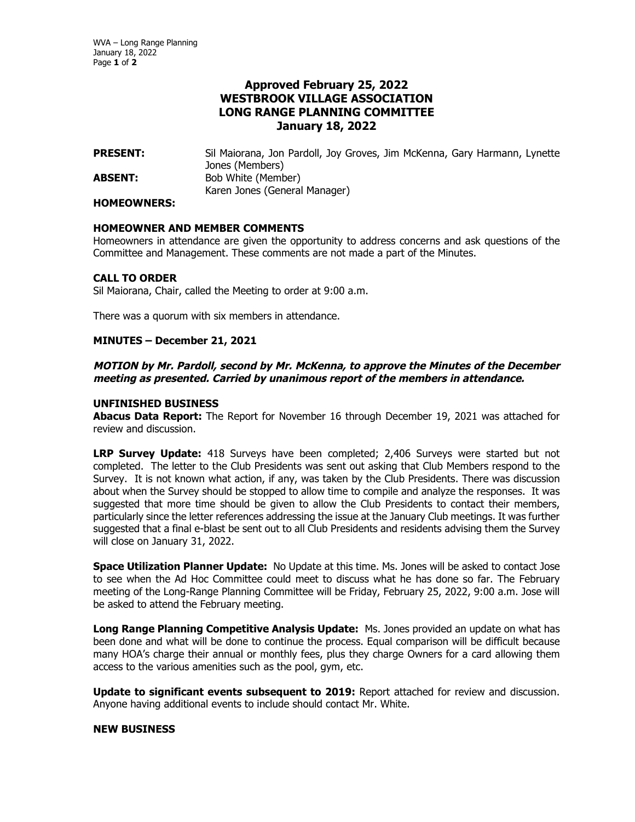# **Approved February 25, 2022 WESTBROOK VILLAGE ASSOCIATION LONG RANGE PLANNING COMMITTEE January 18, 2022**

**PRESENT:** Sil Maiorana, Jon Pardoll, Joy Groves, Jim McKenna, Gary Harmann, Lynette Jones (Members) **ABSENT:** Bob White (Member) Karen Jones (General Manager)

#### **HOMEOWNERS:**

## **HOMEOWNER AND MEMBER COMMENTS**

Homeowners in attendance are given the opportunity to address concerns and ask questions of the Committee and Management. These comments are not made a part of the Minutes.

## **CALL TO ORDER**

Sil Maiorana, Chair, called the Meeting to order at 9:00 a.m.

There was a quorum with six members in attendance.

## **MINUTES – December 21, 2021**

## **MOTION by Mr. Pardoll, second by Mr. McKenna, to approve the Minutes of the December meeting as presented. Carried by unanimous report of the members in attendance.**

## **UNFINISHED BUSINESS**

**Abacus Data Report:** The Report for November 16 through December 19, 2021 was attached for review and discussion.

**LRP Survey Update:** 418 Surveys have been completed; 2,406 Surveys were started but not completed. The letter to the Club Presidents was sent out asking that Club Members respond to the Survey. It is not known what action, if any, was taken by the Club Presidents. There was discussion about when the Survey should be stopped to allow time to compile and analyze the responses. It was suggested that more time should be given to allow the Club Presidents to contact their members, particularly since the letter references addressing the issue at the January Club meetings. It was further suggested that a final e-blast be sent out to all Club Presidents and residents advising them the Survey will close on January 31, 2022.

**Space Utilization Planner Update:** No Update at this time. Ms. Jones will be asked to contact Jose to see when the Ad Hoc Committee could meet to discuss what he has done so far. The February meeting of the Long-Range Planning Committee will be Friday, February 25, 2022, 9:00 a.m. Jose will be asked to attend the February meeting.

**Long Range Planning Competitive Analysis Update:** Ms. Jones provided an update on what has been done and what will be done to continue the process. Equal comparison will be difficult because many HOA's charge their annual or monthly fees, plus they charge Owners for a card allowing them access to the various amenities such as the pool, gym, etc.

**Update to significant events subsequent to 2019:** Report attached for review and discussion. Anyone having additional events to include should contact Mr. White.

#### **NEW BUSINESS**